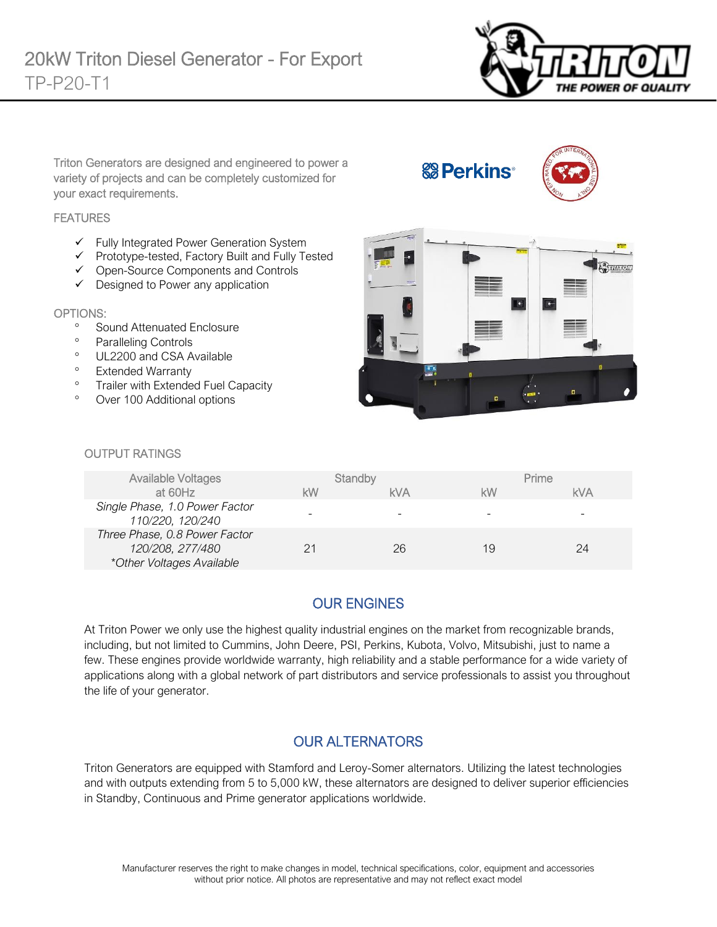

Triton Generators are designed and engineered to power a variety of projects and can be completely customized for your exact requirements.

#### **FEATURES**

- ✓ Fully Integrated Power Generation System
- ✓ Prototype-tested, Factory Built and Fully Tested
- ✓ Open-Source Components and Controls
- ✓ Designed to Power any application

#### OPTIONS:

- <sup>o</sup> Sound Attenuated Enclosure
- Paralleling Controls
- <sup>o</sup> UL2200 and CSA Available
- <sup>o</sup> Extended Warranty
- <sup>o</sup> Trailer with Extended Fuel Capacity
- Over 100 Additional options



**& Perkins** 

#### OUTPUT RATINGS

| <b>Available Voltages</b>                                                      |    | Standby    |    | Prime      |
|--------------------------------------------------------------------------------|----|------------|----|------------|
| at 60Hz                                                                        | kW | <b>kVA</b> | kW | <b>kVA</b> |
| Single Phase, 1.0 Power Factor<br>110/220, 120/240                             | -  |            |    |            |
| Three Phase, 0.8 Power Factor<br>120/208, 277/480<br>*Other Voltages Available | 21 | 26         | 19 | 24         |

## OUR ENGINES

At Triton Power we only use the highest quality industrial engines on the market from recognizable brands, including, but not limited to Cummins, John Deere, PSI, Perkins, Kubota, Volvo, Mitsubishi, just to name a few. These engines provide worldwide warranty, high reliability and a stable performance for a wide variety of applications along with a global network of part distributors and service professionals to assist you throughout the life of your generator.

### OUR ALTERNATORS

Triton Generators are equipped with Stamford and Leroy-Somer alternators. Utilizing the latest technologies and with outputs extending from 5 to 5,000 kW, these alternators are designed to deliver superior efficiencies in Standby, Continuous and Prime generator applications worldwide.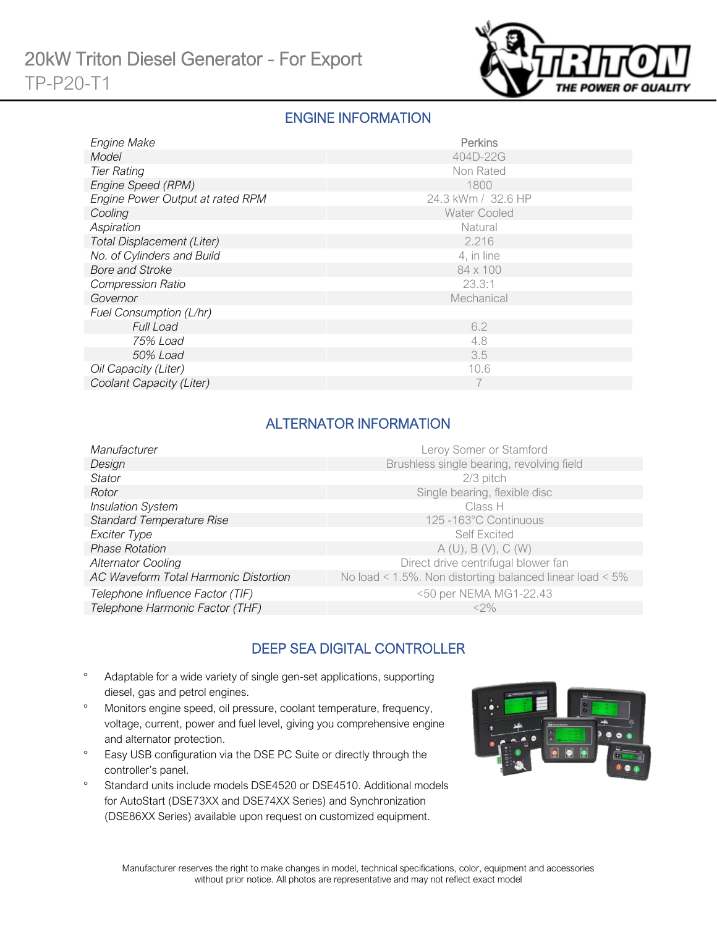

### ENGINE INFORMATION

| Engine Make                       | Perkins             |
|-----------------------------------|---------------------|
| Model                             | 404D-22G            |
| <b>Tier Rating</b>                | Non Rated           |
| Engine Speed (RPM)                | 1800                |
| Engine Power Output at rated RPM  | 24.3 kWm / 32.6 HP  |
| Cooling                           | <b>Water Cooled</b> |
| Aspiration                        | Natural             |
| <b>Total Displacement (Liter)</b> | 2.216               |
| No. of Cylinders and Build        | 4, in line          |
| <b>Bore and Stroke</b>            | 84 x 100            |
| <b>Compression Ratio</b>          | 23.3:1              |
| Governor                          | Mechanical          |
| Fuel Consumption (L/hr)           |                     |
| <b>Full Load</b>                  | 6.2                 |
| 75% Load                          | 4.8                 |
| 50% Load                          | 3.5                 |
| Oil Capacity (Liter)              | 10.6                |
| Coolant Capacity (Liter)          |                     |

# ALTERNATOR INFORMATION

| Manufacturer                          | Leroy Somer or Stamford                                  |
|---------------------------------------|----------------------------------------------------------|
| Design                                | Brushless single bearing, revolving field                |
| Stator                                | $2/3$ pitch                                              |
| Rotor                                 | Single bearing, flexible disc                            |
| <b>Insulation System</b>              | Class H                                                  |
| <b>Standard Temperature Rise</b>      | 125 -163°C Continuous                                    |
| Exciter Type                          | <b>Self Excited</b>                                      |
| <b>Phase Rotation</b>                 | A(U), B(V), C(W)                                         |
| <b>Alternator Cooling</b>             | Direct drive centrifugal blower fan                      |
| AC Waveform Total Harmonic Distortion | No load < 1.5%. Non distorting balanced linear load < 5% |
| Telephone Influence Factor (TIF)      | <50 per NEMA MG1-22.43                                   |
| Telephone Harmonic Factor (THF)       | $<$ 2%                                                   |
|                                       |                                                          |

# DEEP SEA DIGITAL CONTROLLER

- Adaptable for a wide variety of single gen-set applications, supporting diesel, gas and petrol engines.
- Monitors engine speed, oil pressure, coolant temperature, frequency, voltage, current, power and fuel level, giving you comprehensive engine and alternator protection.
- <sup>o</sup> Easy USB configuration via the DSE PC Suite or directly through the controller's panel.
- <sup>o</sup> Standard units include models DSE4520 or DSE4510. Additional models for AutoStart (DSE73XX and DSE74XX Series) and Synchronization (DSE86XX Series) available upon request on customized equipment.

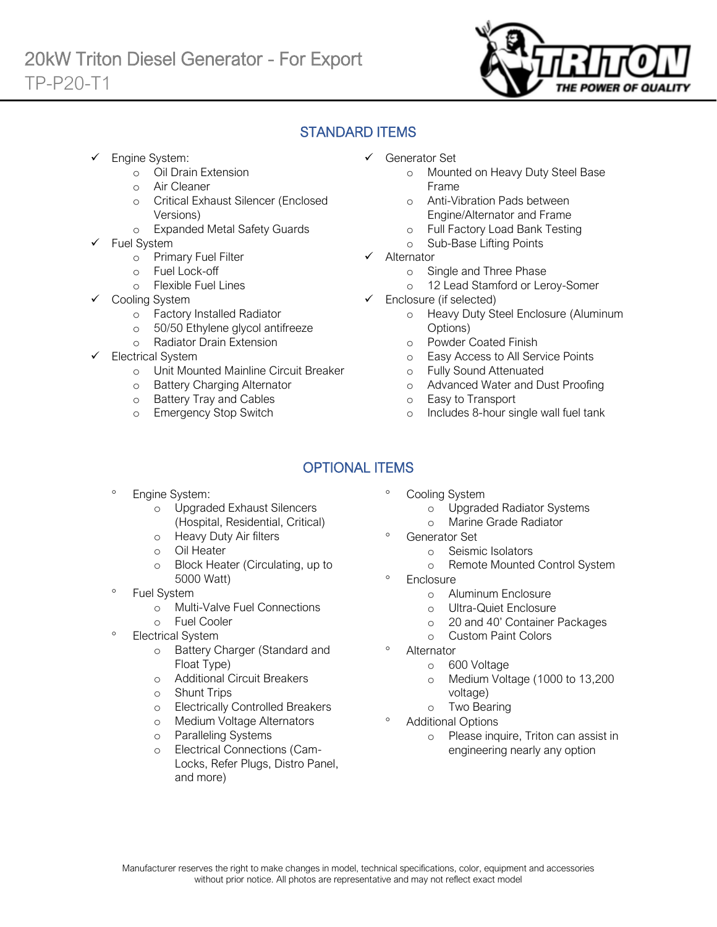

# STANDARD ITEMS

Engine System:

Ī

- o Oil Drain Extension
- o Air Cleaner
- o Critical Exhaust Silencer (Enclosed Versions)
- o Expanded Metal Safety Guards
- Fuel System
	- o Primary Fuel Filter
	- o Fuel Lock-off
		- o Flexible Fuel Lines
	- Cooling System
		- o Factory Installed Radiator
		- o 50/50 Ethylene glycol antifreeze
		- o Radiator Drain Extension
- Electrical System
	- o Unit Mounted Mainline Circuit Breaker
	- o Battery Charging Alternator
	- o Battery Tray and Cables
	- o Emergency Stop Switch
- ✓ Generator Set
	- o Mounted on Heavy Duty Steel Base Frame
	- o Anti-Vibration Pads between Engine/Alternator and Frame
	- o Full Factory Load Bank Testing
	- o Sub-Base Lifting Points
- ✓ Alternator
	- o Single and Three Phase
	- o 12 Lead Stamford or Leroy-Somer
- $\checkmark$  Enclosure (if selected)
	- o Heavy Duty Steel Enclosure (Aluminum Options)
	- o Powder Coated Finish
	- o Easy Access to All Service Points
	- o Fully Sound Attenuated
	- o Advanced Water and Dust Proofing
	- o Easy to Transport
	- o Includes 8-hour single wall fuel tank

# OPTIONAL ITEMS

- Engine System:
	- o Upgraded Exhaust Silencers (Hospital, Residential, Critical)
	- o Heavy Duty Air filters
	- o Oil Heater
	- o Block Heater (Circulating, up to 5000 Watt)
- Fuel System
	- o Multi-Valve Fuel Connections
	- o Fuel Cooler
- Electrical System
	- o Battery Charger (Standard and Float Type)
	- o Additional Circuit Breakers
	- o Shunt Trips
	- o Electrically Controlled Breakers
	- o Medium Voltage Alternators
	- o Paralleling Systems
	- o Electrical Connections (Cam-Locks, Refer Plugs, Distro Panel, and more)
- Cooling System
	- o Upgraded Radiator Systems
	- o Marine Grade Radiator
	- Generator Set
		- o Seismic Isolators
		- o Remote Mounted Control System
- **Enclosure** 
	- o Aluminum Enclosure
	- o Ultra-Quiet Enclosure
	- o 20 and 40' Container Packages
	- o Custom Paint Colors
- Alternator
	- o 600 Voltage
	- o Medium Voltage (1000 to 13,200 voltage)
	- o Two Bearing
- Additional Options
	- o Please inquire, Triton can assist in engineering nearly any option